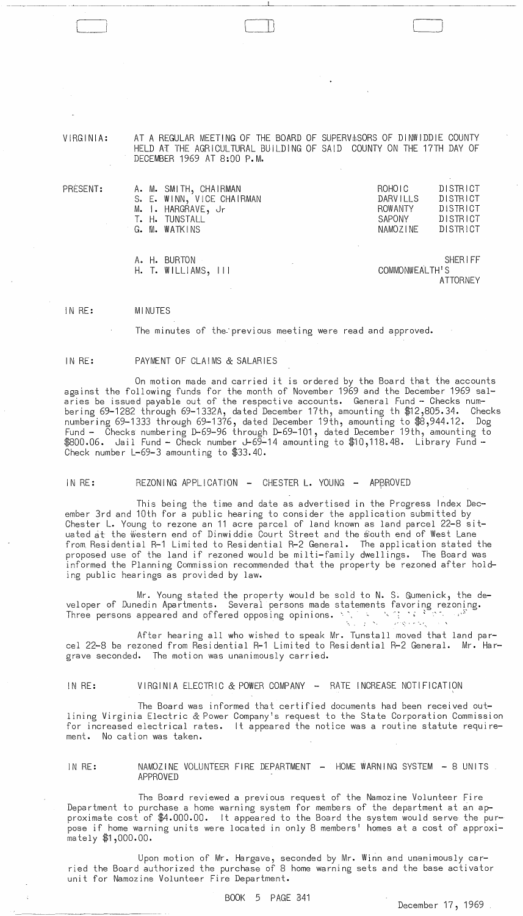VIRGINIA: AT A REGULAR MEETING OF THE BOARD OF SUPERV \$SORS OF DINWIDDIE COUNTY HELD AT THE AGRICULTURAL BUILDING OF SAID COUNTY ON THE 17TH DAY OF DECEMBER 1969 AT 8:00 P.M.

 $\mathbb{L}$ 

|  | A. M. SMITH, CHAIRMAN<br>S. E. WINN, VICE CHAIRMAN<br>M. I. HARGRAVE, Jr<br>T. H. TUNSTALL<br>G. M. WATKINS |  | ROHOIC<br>DARVILLS<br><b>ROWANTY</b><br>SAPONY<br><b>NAMOZINE</b> |                | <b>DISTRICT</b><br>DISTRICT<br><b>DISTRICT</b><br><b>DISTRICT</b><br><b>DISTRICT</b> |
|--|-------------------------------------------------------------------------------------------------------------|--|-------------------------------------------------------------------|----------------|--------------------------------------------------------------------------------------|
|  | A. H. BURTON<br>$H.$ T. WILLIAMS, $   $                                                                     |  |                                                                   | COMMONWEALTH'S | <b>SHERIFF</b>                                                                       |

**ATTORNEY** 

IN RE: **MINUTES** 

The minutes of the previous meeting were read and approved.

## IN RE: PAYMENT OF CLAIMS & SALARIES

On motion made and carried it is ordered by the Board that the accounts against the following funds for the month of November 1969 and the December 1969 salaries be issued payable out of the respective accounts. General Fund - Checks numbering 69-1282 through 69-1332A, dated December 17th, amounting th \$12,805.34. Checks numbering 69·-1333 through 69-1376, dated December 19th, amounting to \$8,944.12. Dog Fund - Checks numbering D-69-96 through D-69-101, dated December 19th, amounting to \$800.06. Jail Fund - Check number J-69-14 amounting to \$'iO,118.48. Library Fund -- Check number L-69-3 amounting to \$33.40.

IN RE: REZONING APPLICATION - CHESTER L. YOUNG - APPROVED

This being the time and date as advertised in the Progress Index December 3rd and 10th for a public hearing to consider the application submitted by Chester L. Young to rezone an 11 acre parcel of land known as land parcel 22-8 situated at the Western end of Dinwiddie Court Street and the South end of West Lane from Residential R-1 Limited to Residential R-2 General. The application stated the proposed use of the land if rezoned would be milti-family dwellings. The Board was informed the Planning Commission recommended that the property be rezoned after holding public hearings as provided by law.

Mr. Young stated the property would be sold to N. S. Gumenick, the developer of Dunedin Apartments. Several persons made statements favoring rezoning. Three persons appeared and offered opposing opinions. '. -, ,,'; '; ~- - ,:,

After hearing all who wished to speak Mr. Tunstall moved that land parcel 22-8 be rezoned from Residential R-1 Limited to Residential R-2 General. Mr. Hargrave seconded. The motion was unanimously carried.

## IN RE: VIRGINIA ELECTRIC & POWER COMPANY - RATE INCREASE NOTIFICATION

The Board was informed that certified documents had been received outlining Virginia Electric & Power Company1s request to the State Corporation Commission for increased electrical rates. It appeared the notice was a routine statute requirement. No cation was taken.

IN RE: NAMOZINE VOLUNTEER FIRE DEPARTMENT - HOME WARNING SYSTEM - 8 UNITS APPROVED

The Board reviewed a previous request of the Namozine Volunteer Fire Department to purchase a home warning system for members of the department at an approximate cost of \$4.000.00. It appeared to the Board the system would serve the purpose if home warning units were located in only 8 members' homes at a cost of approximately \$1,000.00.

Upon motion of Mr. Hargave, seconded by Mr. Winn and unanimously carried the Board authorized the purchase of 8 home warning sets and the base activator unit for Namozine Volunteer Fire Department.

PRESENT:

[--